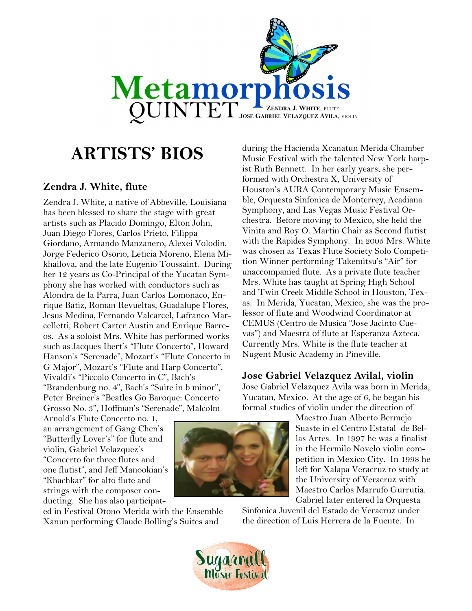

# **ARTISTS' BIOS**

### **Zendra J. White, flute**

Zendra J. White, a native of Abbeville, Louisiana has been blessed to share the stage with great artists such as Placido Domingo, Elton John, Juan Diego Flores, Carlos Prieto, Filippa Giordano, Armando Manzanero, Alexei Volodin, Jorge Federico Osorio, Leticia Moreno, Elena Mikhailova, and the late Eugenio Toussaint. During her 12 years as Co-Principal of the Yucatan Symphony she has worked with conductors such as Alondra de la Parra, Juan Carlos Lomonaco, Enrique Batiz, Roman Revueltas, Guadalupe Flores, Jesus Medina, Fernando Valcarcel, Lafranco Marcelletti, Robert Carter Austin and Enrique Barreos. As a soloist Mrs. White has performed works such as Jacques Ibert's "Flute Concerto", Howard Hanson's "Serenade", Mozart's "Flute Concerto in G Major", Mozart's "Flute and Harp Concerto", Vivaldi's "Piccolo Concerto in C", Bach's "Brandenburg no. 4", Bach's "Suite in b minor", Peter Breiner's "Beatles Go Baroque: Concerto Grosso No. 3", Hoffman's "Serenade", Malcolm

Arnold's Flute Concerto no. 1, an arrangement of Gang Chen's "Butterfly Lover's" for flute and violin, Gabriel Velazquez's "Concerto for three flutes and one flutist", and Jeff Manookian's "Khachkar" for alto flute and strings with the composer conducting. She has also participat-

ed in Festival Otono Merida with the Ensemble Xanun performing Claude Bolling's Suites and



during the Hacienda Xcanatun Merida Chamber Music Festival with the talented New York harpist Ruth Bennett. In her early years, she performed with Orchestra X, University of Houston's AURA Contemporary Music Ensemble, Orquesta Sinfonica de Monterrey, Acadiana Symphony, and Las Vegas Music Festival Orchestra. Before moving to Mexico, she held the Vinita and Roy O. Martin Chair as Second flutist with the Rapides Symphony. In 2005 Mrs. White was chosen as Texas Flute Society Solo Competition Winner performing Takemitsu's "Air" for unaccompanied flute. As a private flute teacher Mrs. White has taught at Spring High School and Twin Creek Middle School in Houston, Texas. In Merida, Yucatan, Mexico, she was the professor of flute and Woodwind Coordinator at CEMUS (Centro de Musica "Jose Jacinto Cuevas") and Maestra of flute at Esperanza Azteca. Currently Mrs. White is the flute teacher at Nugent Music Academy in Pineville.

### **Jose Gabriel Velazquez Avilal, violin**

Jose Gabriel Velazquez Avila was born in Merida, Yucatan, Mexico. At the age of 6, he began his formal studies of violin under the direction of

> Maestro Juan Alberto Bermejo Suaste in el Centro Estatal de Bellas Artes. In 1997 he was a finalist in the Hermilo Novelo violin competition in Mexico City. In 1998 he left for Xalapa Veracruz to study at the University of Veracruz with Maestro Carlos Marrufo Gurrutia. Gabriel later entered la Orquesta

Sinfonica Juvenil del Estado de Veracruz under the direction of Luis Herrera de la Fuente. In